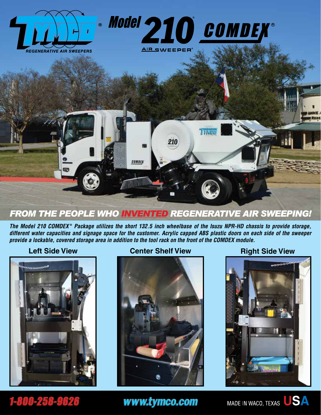

#### *FROM THE PEOPLE WHO INVENTED REGENERATIVE AIR SWEEPING!*

*The Model 210 COMDEX* **®**  *Package utilizes the short 132.5 inch wheelbase of the Isuzu NPR-HD chassis to provide storage, different water capacities and signage space for the customer. Acrylic capped ABS plastic doors on each side of the sweeper provide a lockable, covered storage area in addition to the tool rack on the front of the COMDEX module.*



#### **Left Side View <b>Center Shelf View Right Side View**





www.tymco.com



## 1-800-258-9626

MADE IN WACO, TEXAS USA